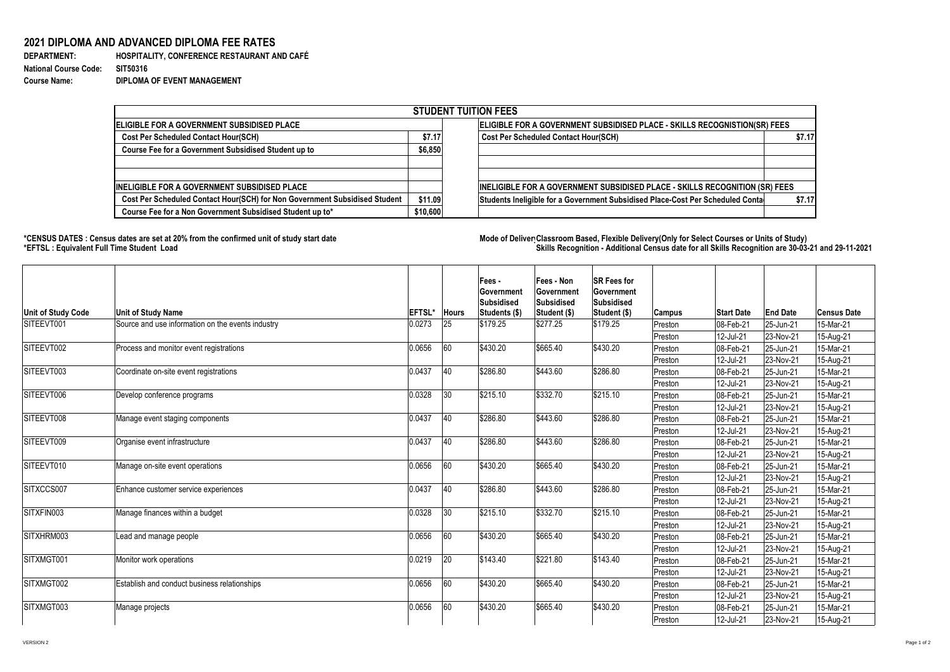**DEPARTMENT: HOSPITALITY, CONFERENCE RESTAURANT AND CAFÉ Course Name: DIPLOMA OF EVENT MANAGEMENT**

## **2021 DIPLOMA AND ADVANCED DIPLOMA FEE RATES**

**National Course Code: SIT50316**

## **\*CENSUS DATES : Census dates are set at 20% from the confirmed unit of study start date Mode of Delivery:Classroom Based, Flexible Delivery(Only for Select Courses or Units of Study) \*EFTSL : Equivalent Full Time Student Load Skills Recognition - Additional Census date for all Skills Recognition are 30-03-21 and 29-11-2021**



| <b>STUDENT TUITION FEES</b>                                                |          |                                                                                |        |  |  |  |  |  |
|----------------------------------------------------------------------------|----------|--------------------------------------------------------------------------------|--------|--|--|--|--|--|
| ELIGIBLE FOR A GOVERNMENT SUBSIDISED PLACE                                 |          | ELIGIBLE FOR A GOVERNMENT SUBSIDISED PLACE - SKILLS RECOGNISTION(SR) FEES      |        |  |  |  |  |  |
| <b>Cost Per Scheduled Contact Hour(SCH)</b>                                | \$7.17   | <b>Cost Per Scheduled Contact Hour(SCH)</b>                                    | \$7.17 |  |  |  |  |  |
| <b>Course Fee for a Government Subsidised Student up to</b>                | \$6,850  |                                                                                |        |  |  |  |  |  |
|                                                                            |          |                                                                                |        |  |  |  |  |  |
| <b>INELIGIBLE FOR A GOVERNMENT SUBSIDISED PLACE</b>                        |          | INELIGIBLE FOR A GOVERNMENT SUBSIDISED PLACE - SKILLS RECOGNITION (SR) FEES    |        |  |  |  |  |  |
| Cost Per Scheduled Contact Hour(SCH) for Non Government Subsidised Student | \$11.09  | Students Ineligible for a Government Subsidised Place-Cost Per Scheduled Conta | \$7.17 |  |  |  |  |  |
| Course Fee for a Non Government Subsidised Student up to*                  | \$10,600 |                                                                                |        |  |  |  |  |  |

| <b>Unit of Study Code</b> | <b>Unit of Study Name</b>                         | <b>EFTSL'</b> | <b>Hours</b> | Fees -<br><b>Government</b><br><b>Subsidised</b><br>Students (\$) | <b>Fees - Non</b><br><b>Government</b><br>Subsidised<br>Student (\$) | <b>SR Fees for</b><br><b>Government</b><br><b>Subsidised</b><br>Student (\$) | <b>Campus</b> | <b>Start Date</b> | <b>End Date</b> | <b>Census Date</b> |
|---------------------------|---------------------------------------------------|---------------|--------------|-------------------------------------------------------------------|----------------------------------------------------------------------|------------------------------------------------------------------------------|---------------|-------------------|-----------------|--------------------|
| SITEEVT001                | Source and use information on the events industry | 0.0273        | 25           | \$179.25                                                          | $\frac{1}{2277.25}$                                                  | \$179.25                                                                     | Preston       | 08-Feb-21         | 25-Jun-21       | 15-Mar-21          |
|                           |                                                   |               |              |                                                                   |                                                                      |                                                                              | Preston       | 12-Jul-21         | 23-Nov-21       | 15-Aug-21          |
| SITEEVT002                | Process and monitor event registrations           | 0.0656        | 60           | \$430.20                                                          | \$665.40                                                             | \$430.20                                                                     | Preston       | 08-Feb-21         | 25-Jun-21       | 15-Mar-21          |
|                           |                                                   |               |              |                                                                   |                                                                      |                                                                              | Preston       | 12-Jul-21         | $ 23-Nov-21 $   | 15-Aug-21          |
| SITEEVT003                | Coordinate on-site event registrations            | 0.0437        | 40           | \$286.80                                                          | \$443.60                                                             | \$286.80                                                                     | Preston       | 08-Feb-21         | 25-Jun-21       | 15-Mar-21          |
|                           |                                                   |               |              |                                                                   |                                                                      |                                                                              | Preston       | 12-Jul-21         | $ 23-Nov-21 $   | 15-Aug-21          |
| SITEEVT006                | Develop conference programs                       | 0.0328        | 30           | \$215.10                                                          | \$332.70                                                             | \$215.10                                                                     | Preston       | 08-Feb-21         | 25-Jun-21       | 15-Mar-21          |
|                           |                                                   |               |              |                                                                   |                                                                      |                                                                              | Preston       | 12-Jul-21         | $ 23-Nov-21 $   | 15-Aug-21          |
| SITEEVT008                | Manage event staging components                   | 0.0437        | 40           | \$286.80                                                          | \$443.60                                                             | \$286.80                                                                     | Preston       | 08-Feb-21         | $ 25 - Jun-21$  | 15-Mar-21          |
|                           |                                                   |               |              |                                                                   |                                                                      |                                                                              | Preston       | 12-Jul-21         | $ 23-Nov-21 $   | 15-Aug-21          |
| SITEEVT009                | Organise event infrastructure                     | 0.0437        | 40           | \$286.80                                                          | \$443.60                                                             | \$286.80                                                                     | Preston       | $ 08 - Feb - 21$  | 25-Jun-21       | 15-Mar-21          |
|                           |                                                   |               |              |                                                                   |                                                                      |                                                                              | Preston       | 12-Jul-21         | 23-Nov-21       | 15-Aug-21          |
| SITEEVT010                | Manage on-site event operations                   | 0.0656        | 60           | \$430.20                                                          | \$665.40                                                             | \$430.20                                                                     | Preston       | 08-Feb-21         | 25-Jun-21       | 15-Mar-21          |
|                           |                                                   |               |              |                                                                   |                                                                      |                                                                              | Preston       | $ 12$ -Jul-21     | 23-Nov-21       | 15-Aug-21          |
| SITXCCS007                | Enhance customer service experiences              | 0.0437        | 40           | \$286.80                                                          | \$443.60                                                             | \$286.80                                                                     | Preston       | 08-Feb-21         | 25-Jun-21       | 15-Mar-21          |
|                           |                                                   |               |              |                                                                   |                                                                      |                                                                              | Preston       | 12-Jul-21         | 23-Nov-21       | 15-Aug-21          |
| SITXFIN003                | Manage finances within a budget                   | 0.0328        | 30           | \$215.10                                                          | \$332.70                                                             | \$215.10                                                                     | Preston       | 08-Feb-21         | 25-Jun-21       | 15-Mar-21          |
|                           |                                                   |               |              |                                                                   |                                                                      |                                                                              | Preston       | 12-Jul-21         | $ 23-Nov-21 $   | 15-Aug-21          |
| SITXHRM003                | Lead and manage people                            | 0.0656        | 60           | \$430.20                                                          | \$665.40                                                             | \$430.20                                                                     | Preston       | 08-Feb-21         | 25-Jun-21       | 15-Mar-21          |
|                           |                                                   |               |              |                                                                   |                                                                      |                                                                              | Preston       | 12-Jul-21         | $ 23-Nov-21 $   | 15-Aug-21          |
| SITXMGT001                | Monitor work operations                           | 0.0219        | 20           | \$143.40                                                          | \$221.80                                                             | \$143.40                                                                     | Preston       | 08-Feb-21         | 25-Jun-21       | 15-Mar-21          |
|                           |                                                   |               |              |                                                                   |                                                                      |                                                                              | Preston       | 12-Jul-21         | $ 23-Nov-21 $   | 15-Aug-21          |
| SITXMGT002                | Establish and conduct business relationships      | 0.0656        | 60           | \$430.20                                                          | \$665.40                                                             | \$430.20                                                                     | Preston       | 08-Feb-21         | 25-Jun-21       | 15-Mar-21          |
|                           |                                                   |               |              |                                                                   |                                                                      |                                                                              | Preston       | 12-Jul-21         | $ 23-Nov-21 $   | 15-Aug-21          |
| SITXMGT003                | Manage projects                                   | 0.0656        | 60           | \$430.20                                                          | \$665.40                                                             | \$430.20                                                                     | Preston       | 08-Feb-21         | $ 25 - Jun-21$  | 15-Mar-21          |
|                           |                                                   |               |              |                                                                   |                                                                      |                                                                              | Preston       | 12-Jul-21         | 23-Nov-21       | 15-Aug-21          |